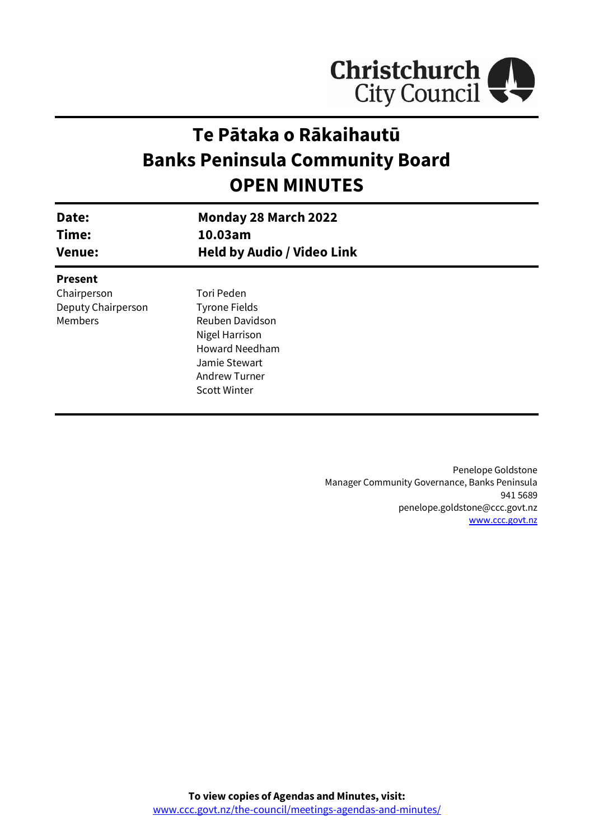

# **Te Pātaka o Rākaihautū Banks Peninsula Community Board OPEN MINUTES**

| Date:<br>Time:<br><b>Venue:</b> | <b>Monday 28 March 2022</b><br>10.03am<br><b>Held by Audio / Video Link</b> |  |
|---------------------------------|-----------------------------------------------------------------------------|--|
|                                 |                                                                             |  |
| <b>Present</b>                  |                                                                             |  |
| Chairperson                     | Tori Peden                                                                  |  |
| Deputy Chairperson              | <b>Tyrone Fields</b>                                                        |  |
| Members                         | Reuben Davidson                                                             |  |
|                                 | Nigel Harrison                                                              |  |
|                                 | <b>Howard Needham</b>                                                       |  |
|                                 | Jamie Stewart                                                               |  |
|                                 | Andrew Turner                                                               |  |
|                                 | <b>Scott Winter</b>                                                         |  |

Penelope Goldstone Manager Community Governance, Banks Peninsula 941 5689 penelope.goldstone@ccc.govt.nz [www.ccc.govt.nz](http://www.ccc.govt.nz/)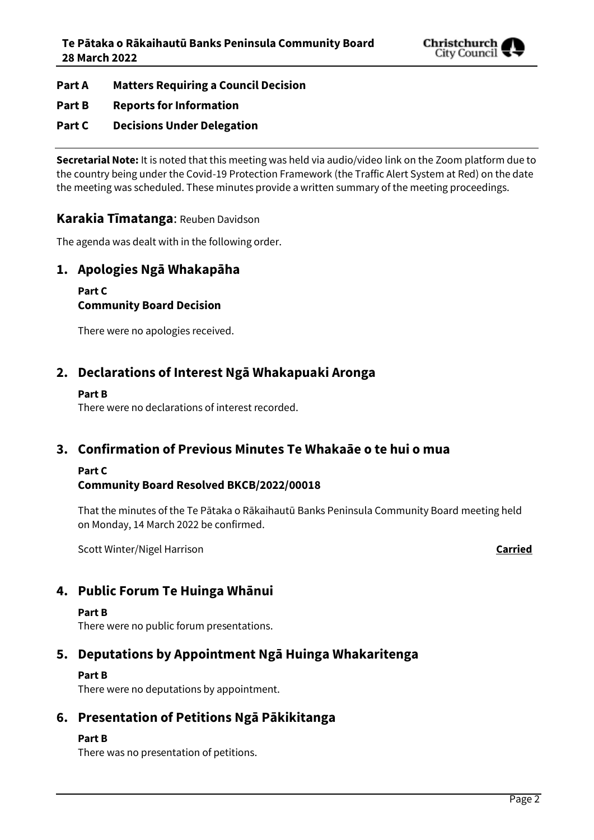

**Part A Matters Requiring a Council Decision**

## **Part B Reports for Information**

## **Part C Decisions Under Delegation**

**Secretarial Note:** It is noted that this meeting was held via audio/video link on the Zoom platform due to the country being under the Covid-19 Protection Framework (the Traffic Alert System at Red) on the date the meeting was scheduled. These minutes provide a written summary of the meeting proceedings.

### **Karakia Tīmatanga**: Reuben Davidson

The agenda was dealt with in the following order.

## **1. Apologies Ngā Whakapāha**

# **Part C**

## **Community Board Decision**

There were no apologies received.

## **2. Declarations of Interest Ngā Whakapuaki Aronga**

#### **Part B**

There were no declarations of interest recorded.

## **3. Confirmation of Previous Minutes Te Whakaāe o te hui o mua**

### **Part C**

### **Community Board Resolved BKCB/2022/00018**

That the minutes of the Te Pātaka o Rākaihautū Banks Peninsula Community Board meeting held on Monday, 14 March 2022 be confirmed.

Scott Winter/Nigel Harrison **Carried**

# **4. Public Forum Te Huinga Whānui**

#### **Part B**

There were no public forum presentations.

# **5. Deputations by Appointment Ngā Huinga Whakaritenga**

### **Part B**

There were no deputations by appointment.

# **6. Presentation of Petitions Ngā Pākikitanga**

#### **Part B**

There was no presentation of petitions.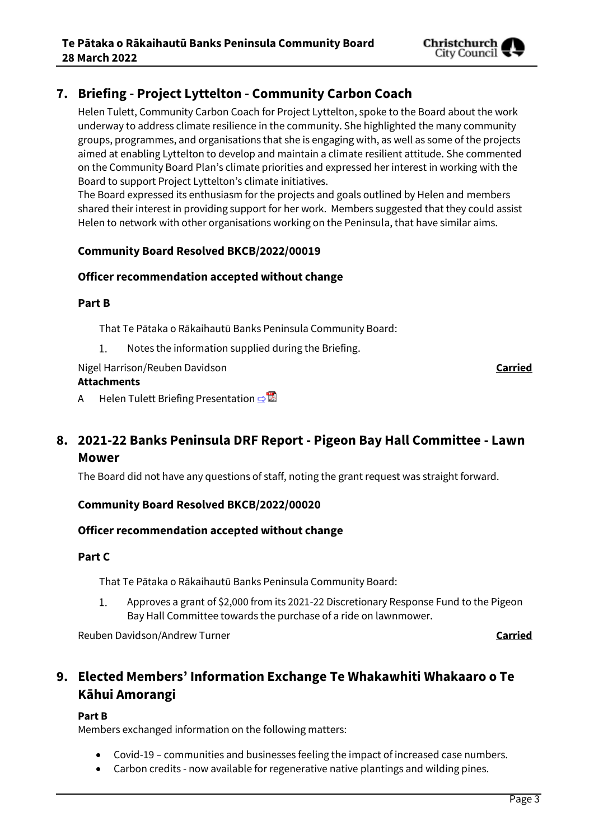

# **7. Briefing - Project Lyttelton - Community Carbon Coach**

Helen Tulett, Community Carbon Coach for Project Lyttelton, spoke to the Board about the work underway to address climate resilience in the community. She highlighted the many community groups, programmes, and organisations that she is engaging with, as well as some of the projects aimed at enabling Lyttelton to develop and maintain a climate resilient attitude. She commented on the Community Board Plan's climate priorities and expressed her interest in working with the Board to support Project Lyttelton's climate initiatives.

The Board expressed its enthusiasm for the projects and goals outlined by Helen and members shared their interest in providing support for her work. Members suggested that they could assist Helen to network with other organisations working on the Peninsula, that have similar aims.

### **Community Board Resolved BKCB/2022/00019**

### **Officer recommendation accepted without change**

#### **Part B**

That Te Pātaka o Rākaihautū Banks Peninsula Community Board:

Notes the information supplied during the Briefing.  $1.$ 

Nigel Harrison/Reuben Davidson **Carried**

#### **Attachments**

A Helen Tulett Briefing Presentation ⇒

# **8. 2021-22 Banks Peninsula DRF Report - Pigeon Bay Hall Committee - Lawn Mower**

The Board did not have any questions of staff, noting the grant request was straight forward.

### **Community Board Resolved BKCB/2022/00020**

### **Officer recommendation accepted without change**

### **Part C**

That Te Pātaka o Rākaihautū Banks Peninsula Community Board:

1. Approves a grant of \$2,000 from its 2021-22 Discretionary Response Fund to the Pigeon Bay Hall Committee towards the purchase of a ride on lawnmower.

Reuben Davidson/Andrew Turner **Carried**

# **9. Elected Members' Information Exchange Te Whakawhiti Whakaaro o Te Kāhui Amorangi**

### **Part B**

Members exchanged information on the following matters:

- Covid-19 communities and businesses feeling the impact of increased case numbers.
- Carbon credits now available for regenerative native plantings and wilding pines.